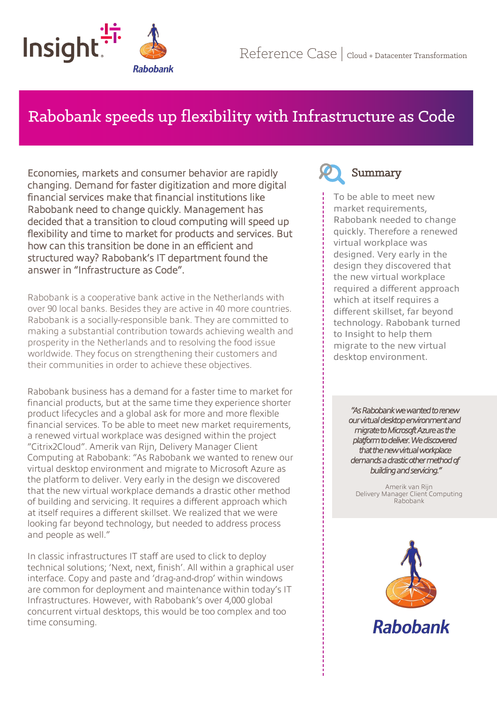

# Rabobank speeds up flexibility with Infrastructure as Code

Economies, markets and consumer behavior are rapidly changing. Demand for faster digitization and more digital financial services make that financial institutions like Rabobank need to change quickly. Management has decided that a transition to cloud computing will speed up flexibility and time to market for products and services. But how can this transition be done in an efficient and structured way? Rabobank's IT department found the answer in "Infrastructure as Code".

Rabobank is a cooperative bank active in the Netherlands with over 90 local banks. Besides they are active in 40 more countries. Rabobank is a socially-responsible bank. They are committed to making a substantial contribution towards achieving wealth and prosperity in the Netherlands and to resolving the food issue worldwide. They focus on strengthening their customers and their communities in order to achieve these objectives.

Rabobank business has a demand for a faster time to market for financial products, but at the same time they experience shorter product lifecycles and a global ask for more and more flexible financial services. To be able to meet new market requirements, a renewed virtual workplace was designed within the project "Citrix2Cloud". Amerik van Rijn, Delivery Manager Client Computing at Rabobank: "As Rabobank we wanted to renew our virtual desktop environment and migrate to Microsoft Azure as the platform to deliver. Very early in the design we discovered that the new virtual workplace demands a drastic other method of building and servicing. It requires a different approach which at itself requires a different skillset. We realized that we were looking far beyond technology, but needed to address process and people as well."

In classic infrastructures IT staff are used to click to deploy technical solutions; 'Next, next, finish'. All within a graphical user interface. Copy and paste and 'drag-and-drop' within windows are common for deployment and maintenance within today's IT Infrastructures. However, with Rabobank's over 4,000 global concurrent virtual desktops, this would be too complex and too time consuming.



To be able to meet new market requirements, Rabobank needed to change quickly. Therefore a renewed virtual workplace was designed. Very early in the design they discovered that the new virtual workplace required a different approach which at itself requires a different skillset, far beyond technology. Rabobank turned to Insight to help them migrate to the new virtual desktop environment.

> *"As Rabobank we wanted to renew our virtual desktop environment and migrate to Microsoft Azure as the platform to deliver. We discovered that the new virtual workplace demands a drastic other method of building and servicing."*

Amerik van Rijn Delivery Manager Client Computing Rabobank

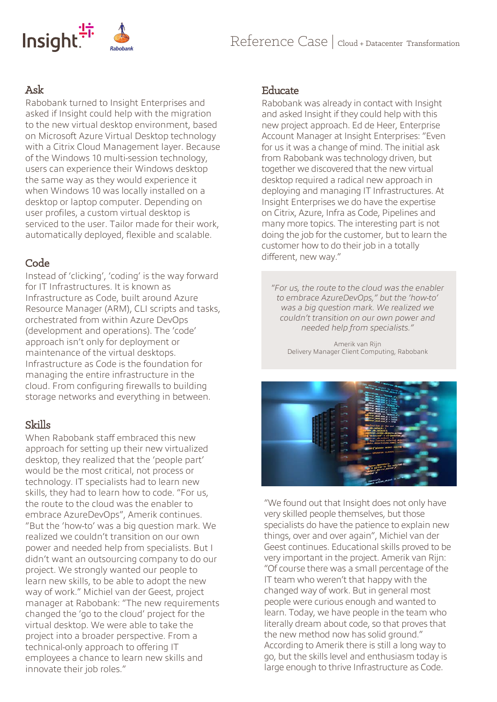

# Ask

Rabobank turned to Insight Enterprises and asked if Insight could help with the migration to the new virtual desktop environment, based on Microsoft Azure Virtual Desktop technology with a Citrix Cloud Management layer. Because of the Windows 10 multi-session technology, users can experience their Windows desktop the same way as they would experience it when Windows 10 was locally installed on a desktop or laptop computer. Depending on user profiles, a custom virtual desktop is serviced to the user. Tailor made for their work, automatically deployed, flexible and scalable.

# Code

Instead of 'clicking', 'coding' is the way forward for IT Infrastructures. It is known as Infrastructure as Code, built around Azure Resource Manager (ARM), CLI scripts and tasks, orchestrated from within Azure DevOps (development and operations). The 'code' approach isn't only for deployment or maintenance of the virtual desktops. Infrastructure as Code is the foundation for managing the entire infrastructure in the cloud. From configuring firewalls to building storage networks and everything in between.

# Skills

When Rabobank staff embraced this new approach for setting up their new virtualized desktop, they realized that the 'people part' would be the most critical, not process or technology. IT specialists had to learn new skills, they had to learn how to code. "For us, the route to the cloud was the enabler to embrace AzureDevOps", Amerik continues. "But the 'how-to' was a big question mark. We realized we couldn't transition on our own power and needed help from specialists. But I didn't want an outsourcing company to do our project. We strongly wanted our people to learn new skills, to be able to adopt the new way of work." Michiel van der Geest, project manager at Rabobank: "The new requirements changed the 'go to the cloud' project for the virtual desktop. We were able to take the project into a broader perspective. From a technical-only approach to offering IT employees a chance to learn new skills and innovate their job roles."

#### Educate

Rabobank was already in contact with Insight and asked Insight if they could help with this new project approach. Ed de Heer, Enterprise Account Manager at Insight Enterprises: "Even for us it was a change of mind. The initial ask from Rabobank was technology driven, but together we discovered that the new virtual desktop required a radical new approach in deploying and managing IT Infrastructures. At Insight Enterprises we do have the expertise on Citrix, Azure, Infra as Code, Pipelines and many more topics. The interesting part is not doing the job for the customer, but to learn the customer how to do their job in a totally different, new way."

*"For us, the route to the cloud was the enabler to embrace AzureDevOps," but the 'how-to' was a big question mark. We realized we couldn't transition on our own power and needed help from specialists."* 

Amerik van Rijn Delivery Manager Client Computing, Rabobank



"We found out that Insight does not only have very skilled people themselves, but those specialists do have the patience to explain new things, over and over again", Michiel van der Geest continues. Educational skills proved to be very important in the project. Amerik van Rijn: "Of course there was a small percentage of the IT team who weren't that happy with the changed way of work. But in general most people were curious enough and wanted to learn. Today, we have people in the team who literally dream about code, so that proves that the new method now has solid ground." According to Amerik there is still a long way to go, but the skills level and enthusiasm today is large enough to thrive Infrastructure as Code.